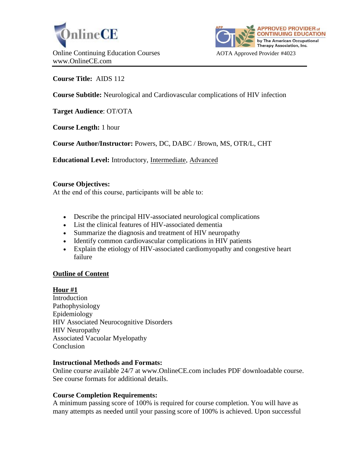



**Course Title:** AIDS 112

**Course Subtitle:** Neurological and Cardiovascular complications of HIV infection

**Target Audience**: OT/OTA

**Course Length:** 1 hour

**Course Author/Instructor:** Powers, DC, DABC / Brown, MS, OTR/L, CHT

**Educational Level:** Introductory, Intermediate, Advanced

#### **Course Objectives:**

At the end of this course, participants will be able to:

- Describe the principal HIV-associated neurological complications
- List the clinical features of HIV-associated dementia
- Summarize the diagnosis and treatment of HIV neuropathy
- Identify common cardiovascular complications in HIV patients
- Explain the etiology of HIV-associated cardiomyopathy and congestive heart failure

### **Outline of Content**

### **Hour #1**

Introduction Pathophysiology Epidemiology HIV Associated Neurocognitive Disorders HIV Neuropathy Associated Vacuolar Myelopathy Conclusion

### **Instructional Methods and Formats:**

Online course available 24/7 at www.OnlineCE.com includes PDF downloadable course. See course formats for additional details.

### **Course Completion Requirements:**

A minimum passing score of 100% is required for course completion. You will have as many attempts as needed until your passing score of 100% is achieved. Upon successful